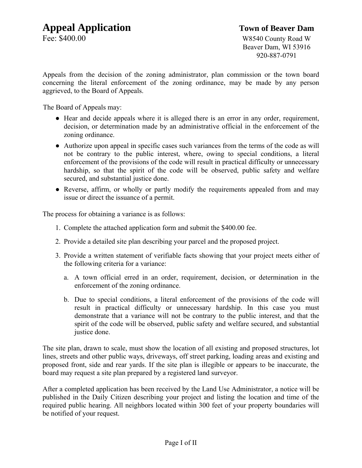Fee: \$400.00 W8540 County Road W Beaver Dam, WI 53916 920-887-0791

Appeals from the decision of the zoning administrator, plan commission or the town board concerning the literal enforcement of the zoning ordinance, may be made by any person aggrieved, to the Board of Appeals.

The Board of Appeals may:

- Hear and decide appeals where it is alleged there is an error in any order, requirement, decision, or determination made by an administrative official in the enforcement of the zoning ordinance.
- Authorize upon appeal in specific cases such variances from the terms of the code as will not be contrary to the public interest, where, owing to special conditions, a literal enforcement of the provisions of the code will result in practical difficulty or unnecessary hardship, so that the spirit of the code will be observed, public safety and welfare secured, and substantial justice done.
- Reverse, affirm, or wholly or partly modify the requirements appealed from and may issue or direct the issuance of a permit.

The process for obtaining a variance is as follows:

- 1. Complete the attached application form and submit the \$400.00 fee.
- 2. Provide a detailed site plan describing your parcel and the proposed project.
- 3. Provide a written statement of verifiable facts showing that your project meets either of the following criteria for a variance:
	- a. A town official erred in an order, requirement, decision, or determination in the enforcement of the zoning ordinance.
	- b. Due to special conditions, a literal enforcement of the provisions of the code will result in practical difficulty or unnecessary hardship. In this case you must demonstrate that a variance will not be contrary to the public interest, and that the spirit of the code will be observed, public safety and welfare secured, and substantial justice done.

The site plan, drawn to scale, must show the location of all existing and proposed structures, lot lines, streets and other public ways, driveways, off street parking, loading areas and existing and proposed front, side and rear yards. If the site plan is illegible or appears to be inaccurate, the board may request a site plan prepared by a registered land surveyor.

After a completed application has been received by the Land Use Administrator, a notice will be published in the Daily Citizen describing your project and listing the location and time of the required public hearing. All neighbors located within 300 feet of your property boundaries will be notified of your request.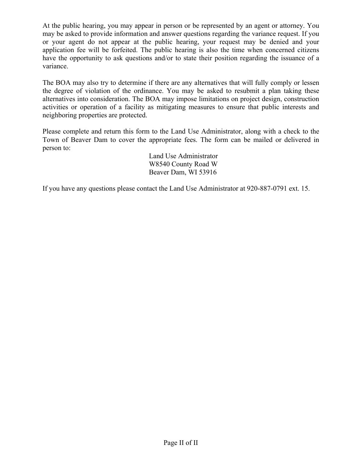At the public hearing, you may appear in person or be represented by an agent or attorney. You may be asked to provide information and answer questions regarding the variance request. If you or your agent do not appear at the public hearing, your request may be denied and your application fee will be forfeited. The public hearing is also the time when concerned citizens have the opportunity to ask questions and/or to state their position regarding the issuance of a variance.

The BOA may also try to determine if there are any alternatives that will fully comply or lessen the degree of violation of the ordinance. You may be asked to resubmit a plan taking these alternatives into consideration. The BOA may impose limitations on project design, construction activities or operation of a facility as mitigating measures to ensure that public interests and neighboring properties are protected.

Please complete and return this form to the Land Use Administrator, along with a check to the Town of Beaver Dam to cover the appropriate fees. The form can be mailed or delivered in person to:

> Land Use Administrator W8540 County Road W Beaver Dam, WI 53916

If you have any questions please contact the Land Use Administrator at 920-887-0791 ext. 15.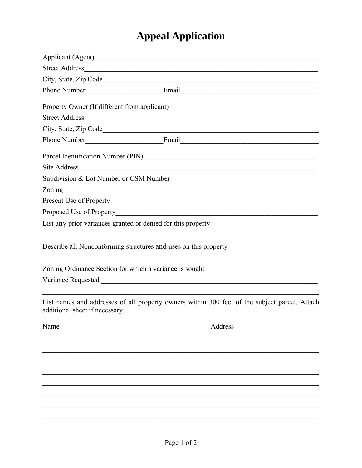## **Appeal Application**

|                                | Phone Number Email Email                                                                                               |
|--------------------------------|------------------------------------------------------------------------------------------------------------------------|
|                                |                                                                                                                        |
| <b>Street Address</b>          |                                                                                                                        |
|                                |                                                                                                                        |
|                                |                                                                                                                        |
|                                | Parcel Identification Number (PIN)                                                                                     |
| <b>Site Address</b>            | <u> 1980 - Andrea Barbara, amerikana amerikana amerikana amerikana amerikana amerikana amerikana amerikana amerika</u> |
|                                |                                                                                                                        |
|                                |                                                                                                                        |
|                                |                                                                                                                        |
|                                | Proposed Use of Property Manual Account of Proposed Use of Property                                                    |
|                                |                                                                                                                        |
|                                | Describe all Nonconforming structures and uses on this property _________________                                      |
|                                | Zoning Ordinance Section for which a variance is sought _________________________                                      |
|                                |                                                                                                                        |
| additional sheet if necessary. | List names and addresses of all property owners within 300 feet of the subject parcel. Attach                          |
| Name                           | Address                                                                                                                |
|                                |                                                                                                                        |
|                                |                                                                                                                        |
|                                |                                                                                                                        |
|                                |                                                                                                                        |
|                                |                                                                                                                        |
|                                |                                                                                                                        |
|                                |                                                                                                                        |
|                                |                                                                                                                        |